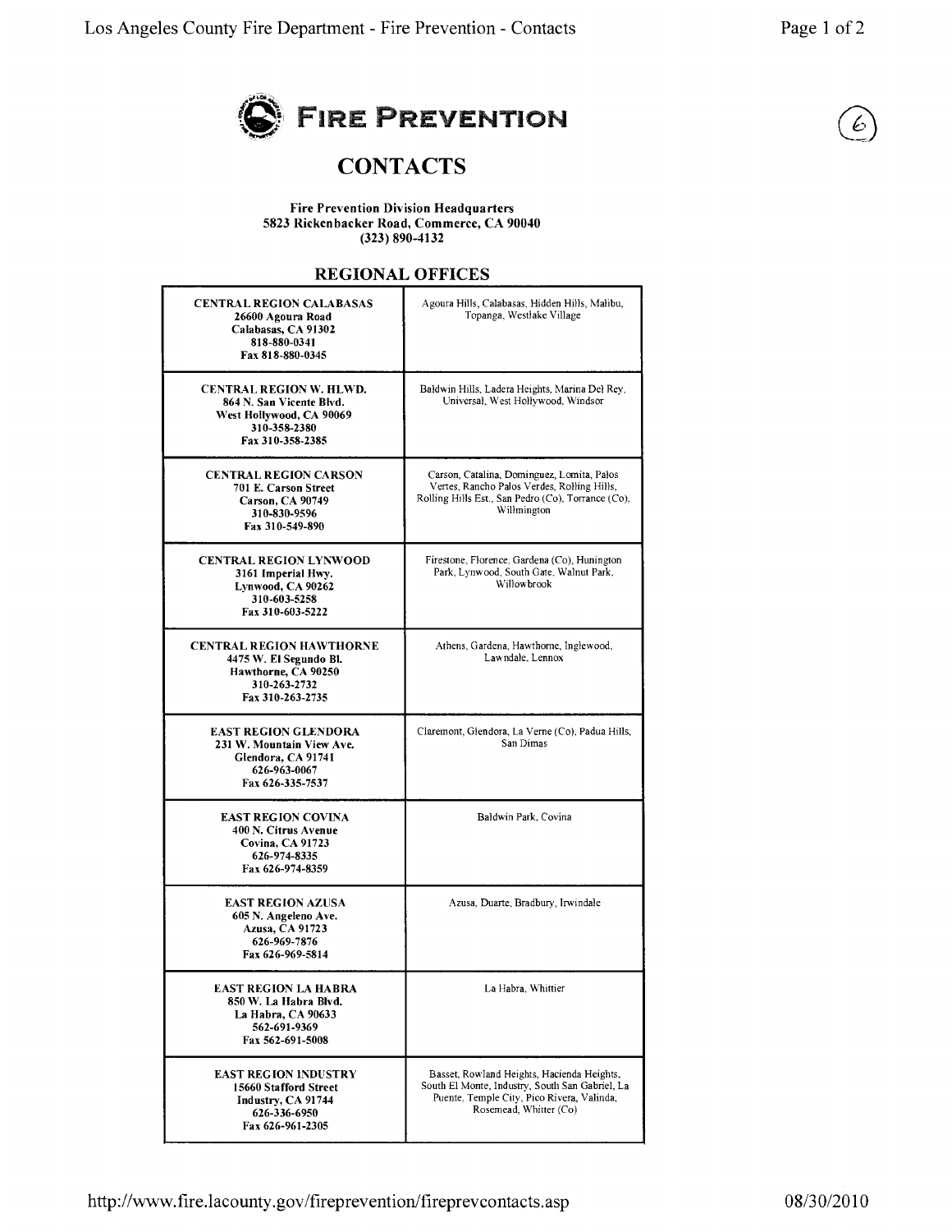

## **CONTACTS**

**Fire Prevention Division Headquarters** 5823 Rickenbacker Road, Commerce, CA 90040  $(323) 890 - 4132$ 

## REGIONAL OFFICES

| <b>CENTRAL REGION CALABASAS</b><br>26600 Agoura Road<br>Calabasas, CA 91302<br>818-880-0341<br>Fax 818-880-0345            | Agoura Hills, Calabasas, Hidden Hills, Malibu,<br>Topanga, Westlake Village                                                                                           |
|----------------------------------------------------------------------------------------------------------------------------|-----------------------------------------------------------------------------------------------------------------------------------------------------------------------|
| <b>CENTRAL REGION W. HLWD.</b><br>864 N. San Vicente Blvd.<br>West Hollywood, CA 90069<br>310-358-2380<br>Fax 310-358-2385 | Baldwin Hills, Ladera Heights, Marina Del Rey,<br>Universal, West Hollywood, Windsor                                                                                  |
| <b>CENTRAL REGION CARSON</b><br>701 E. Carson Street<br>Carson, CA 90749<br>310-830-9596<br>Fax 310-549-890                | Carson, Catalina, Dominguez, Lomita, Palos<br>Vertes, Rancho Palos Verdes, Rolling Hills,<br>Rolling Hills Est., San Pedro (Co), Torrance (Co),<br>Willmington        |
| <b>CENTRAL REGION LYNWOOD</b><br>3161 Imperial Hwy.<br>Lynwood, CA 90262<br>310-603-5258<br>Fax 310-603-5222               | Firestone, Florence, Gardena (Co), Hunington<br>Park, Lynwood, South Gate, Walnut Park,<br>Willowbrook                                                                |
| <b>CENTRAL REGION HAWTHORNE</b><br>4475 W. El Segundo Bl.<br>Hawthorne, CA 90250<br>310-263-2732<br>Fax 310-263-2735       | Athens, Gardena, Hawthorne, Inglewood,<br>Lawndale, Lennox                                                                                                            |
| <b>EAST REGION GLENDORA</b><br>231 W. Mountain View Ave.<br>Glendora, CA 91741<br>626-963-0067<br>Fax 626-335-7537         | Claremont, Glendora, La Verne (Co), Padua Hills,<br>San Dimas                                                                                                         |
| <b>EAST REGION COVINA</b><br>400 N. Citrus Avenue<br>Covina, CA 91723<br>626-974-8335<br>Fax 626-974-8359                  | Baldwin Park, Covina                                                                                                                                                  |
| <b>EAST REGION AZUSA</b><br>605 N. Angeleno Ave.<br>Azusa, CA 91723<br>626-969-7876<br>Fax 626-969-5814                    | Azusa, Duarte, Bradbury, Irwindale                                                                                                                                    |
| east region la habra<br>850 W. La Habra Blvd.<br>La Habra, CA 90633<br>562-691-9369<br>Fax 562-691-5008                    | La Habra, Whittier                                                                                                                                                    |
| <b>EAST REGION INDUSTRY</b><br>15660 Stafford Street<br>Industry, CA 91744<br>626-336-6950<br>Fax 626-961-2305             | Basset, Rowland Heights, Hacienda Heights,<br>South El Monte, Industry, South San Gabriel, La<br>Puente, Temple City, Pico Rivera, Valinda,<br>Rosemead, Whitter (Co) |